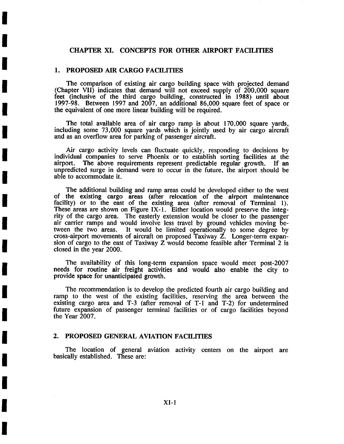# CHAPTER XI. CONCEPTS FOR OTHER AIRPORT FACILITIES

# 1. PROPOSED AIR CARGO FACILITIES

**i** 

**i** 

**I** 

**!** 

**!** 

**I** 

**I** 

**I** 

**I** 

**!** 

**I** 

**I** 

**I** 

**i** 

**i** 

**i** 

**i** 

**I** 

The comparison of existing air cargo building space with projected demand (Chapter VII) indicates that demand will not exceed supply of 200,000 square feet (inclusive of the third cargo building, constructed in 1988) until about 1997-98. Between 1997 and 2007, an additional 86,000 square feet of space or the equivalent of one more linear building will be required.

The total available area of air cargo ramp is about 170,000 square yards, including some 73,000 square yards which is jointly used by air cargo aircraft and as an overflow area for parking of passenger aircraft.

Air cargo activity levels can fluctuate quickly, responding to decisions by individual companies to serve Phoenix or to establish sorting facilities at the The above requirements represent predictable regular growth. If an unpredicted surge in demand were to occur in the future, the airport should be able to accommodate it.

The additional building and ramp areas could be developed either to the west of the existing cargo areas (after relocation of the airport maintenance facility) or to the east of the existing area (after removal of Terminal 1). These areas are shown on Figure IX-1. Either location would preserve the integrity of the cargo area. The easterly extension would be closer to the passenger air carrier ramps and would involve less travel by ground vehicles moving be-<br>tween the two areas. It would be limited operationally to some degree by It would be limited operationally to some degree by cross-airport movements of aircraft on proposed Taxiway Z. Longer-term expansion of cargo to the east of Taxiway Z would become feasible after Terminal 2 is closed in the year 2000.

The availability of this long-term expansion space would meet post-2007 needs for routine air freight activities and would also enable the city to provide space for unanticipated growth.

The recommendation is to develop the predicted fourth air cargo building and ramp to the west of the existing facilities, reserving the area between the existing cargo area and T-3 (after removal of T-I and T-2) for undetermined future expansion of passenger terminal facilities or of cargo facilities beyond the Year 2007.

### 2. PROPOSED GENERAL AVIATION FACILITIES

The location of general aviation activity centers on the airport are basically established. These are: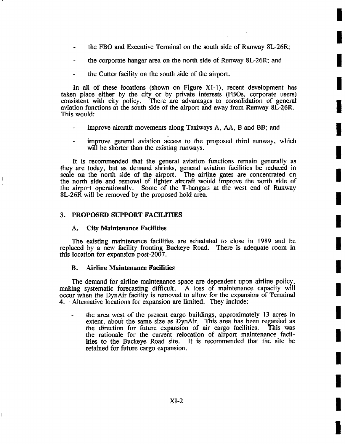the FBO and Executive Terminal on the south side of Runway 8L-26R;

**I** 

**I** 

**!** 

**I** 

**I** 

**I** 

**I** 

**I** 

**I** 

**I** 

**I** 

**I** 

**I** 

**.** 

**I** 

**I** 

- the corporate hangar area on the north side of Runway 8L-26R; and
- the Cutter facility on the south side of the airport.

In all of these locations (shown on Figure XI-1), recent development has taken place either by the city or by private interests (FBOs, corporate users) consistent with city policy. There are advantages to consolidation of general aviation functions at the south side of the airport and away from Runway 8L-26R. This would:

- improve aircraft movements along Taxiways A, AA, B and BB; and
- improve genera! aviation access to the proposed third runway, which will be shorter than the existing runways.

It is recommended that the general aviation functions remain generally as they are today, but as demand shrinks, general aviation facilities be reduced in scale on the north side of the airport. The airline gates are concentrated on the north side and removal of lighter aircraft would improve the north side of the airport operationally. Some of the T-hangars at the west end of Runway 8L-26R will be removed by the proposed hold area.

### 3. PROPOSED SUPPORT FACILITIES

### A. City Maintenance Facilities

The existing maintenance facilities are scheduled to close in 1989 and be replaced by a new facility fronting Buckeye Road. There is adequate room in this location for expansion post-2007.

### **B. Airline Maintenance Facilities**

The demand for airline maintenance space are dependent upon airline policy, making systematic forecasting difficult. A loss of maintenance capacity will occur when the DynAir facility is removed to allow for the expansion of Terminal 4. Alternative locations for expansion are limited. They include:

the area west of the present cargo buildings, approximately 13 acres in extent, about the same size as DynAir. This area has been regarded as the direction for future expansion of air cargo facilities. This was the rationale for the current relocation of airport maintenance facilities to the Buckeye Road site. It is recommended that the site be retained for future cargo expansion.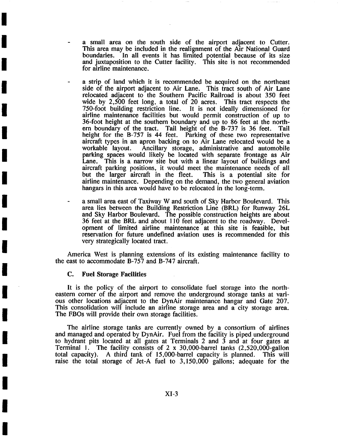- a small area on the south side of the airport adjacent to Cutter. This area may be included in the realignment of the Air National Guard boundaries. In all events it has limited potential because of its size and juxtaposition to the Cutter facility. This site is not recommended for airline maintenance.
- a strip of land which it is recommended be acquired on the northeast side of the airport adjacent to Air Lane. This tract south of Air Lane relocated adjacent to the Southern Pacific Railroad is about 350 feet wide by 2,500 feet long, a total of 20 acres. This tract respects the 750-foot building restriction line. It is not ideally dimensioned for airline maintenance facilities but would permit construction of up to 36-foot height at the southern boundary and up to 86 feet at the northern boundary of the tract. Tail height of the B-737 is 36 feet. Tail height for the B-757 is 44 feet. Parking of these two representative aircraft types in an apron backing on to Air Lane relocated would be a Ancillary storage, administrative and automobile parking spaces would likely be located with separate frontage as Air Lane. This is a narrow site but with a linear layout of buildings and aircraft parking positions, it would meet the maintenance needs of all but the larger aircraft in the fleet. This is a potential site for but the larger aircraft in the fleet. airline maintenance. Depending on the demand, the two general aviation hangars in this area would have to be relocated in the long-term.
- a small area east of Taxiway W and south of Sky Harbor Boulevard. This area lies between the Building Restriction Line (BRL) for Runway 26L and Sky Harbor Boulevard. The possible construction heights are about 36 feet at the BRL and about 110 feet adjacent to the roadway. Development of limited airline maintenance at this site is feasible, but reservation for future undefined aviation uses is recommended for this very strategically located tract.

America West is planning extensions of its existing maintenance facility to the east to accommodate B-757 and B-747 aircraft.

#### **C. Fuel Storage Facilities**

**I** 

**I** 

**i** 

**I** 

**I** 

**!** 

**I** 

**!** 

**I** 

**I** 

**I** 

**I** 

**!** 

**I** 

**i** 

**I** 

**!** 

**I** 

It is the policy of the airport to consolidate fuel storage into the northeastern corner of the airport and remove the underground storage tanks at various other locations adjacent to the DynAir maintenance hangar and Gate 207. This consolidation will include an airline storage area and a city storage area. The FBOs will provide their own storage facilities.

The airline storage tanks are currently owned by a consortium of airlines and managed and operated by DynAir. Fuel from the facility is piped underground to hydrant pits located at all gates at Terminals 2 and 3 and at four gates at Terminal !. The facility consists of 2 x 30,000-barrel tanks (2,520,000-gallon total capacity). A third tank of 15,000-barrel capacity is planned. This will raise the total storage of Jet-A fuel to 3,150,000 gallons; adequate for the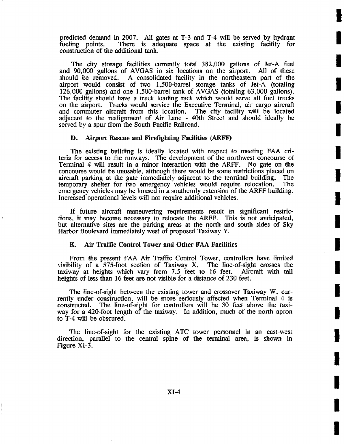predicted demand in 2007. All gates at T-3 and T-4 will be served by hydrant fueling points. There is adequate space at the existing facility for construction of the additional tank.

**!** 

**I** 

**i** 

**I** 

**!** 

**!** 

**I** 

**!** 

**I** 

**I** 

**I** 

**i** 

**!** 

**I** 

**!** 

**i** 

**I** 

**I** 

The city storage facilities currently total 382,000 gallons of Jet-A fuel and 90,000 gallons of AVGAS in six locations on the airport. All of these should be removed. A consolidated facility in the northeastern part of the A consolidated facility in the northeastern part of the airport would consist of two 1,500-barrel storage tanks of Jet-A (totaling  $126,000$  gallons) and one 1,500-barrel tank of AVGAS (totaling 63,000 gallons). The facility should have a truck loading rack which would serve all fuel trucks on the airport. Trucks would service the Executive Terminal, air cargo aircraft and commuter aircraft from this location. The city facility will be located adjacent to the realignment of Air Lane - 40th Street and should ideally be served by a spur from the South Pacific Railroad.

### D. Airport Rescue and Firefighting Facilities (ARFF)

The existing building is ideally located with respect to meeting FAA criteria for access to the runways. The development of the northwest concourse of Terminal 4 will result in a minor interaction with the ARFF. No gate on the concourse would be unusable, although there would be some restrictions placed on aircraft parking at the gate immediately adjacent to the terminal building. The temporary shelter for two emergency vehicles would require relocation. The emergency vehicles may be housed in a southernly extension of the ARFF building. Increased operational levels will not require additional vehicles.

If future aircraft, maneuvering requirements result in significant restrictions, it may become necessary to relocate the ARFF. This is not anticipated, but alternative sites are the parking areas at the north and south sides of Sky Harbor Boulevard immediately west of proposed Taxiway Y.

### **E. Air Traffic Control Tower and Other FAA Facilities**

From the present FAA Air Traffic Control Tower, controllers have limited visibility of a  $575$ -foot section of Taxiway X. The line-of-sight crosses the taxiway at heights which vary from 7.5 feet to 16 feet. Aircraft with tail heights of less than 16 feet are not visible for a distance of 230 feet.

The line-of-sight between the existing tower and crossover Taxiway W, currently under construction, will be more seriously affected when Terminal 4 is constructed. The line-of-sight for controllers will be 30 feet above the taxiway for a 420-foot length of the taxiway. In addition, much of the north apron to T-4 will be obscured.

The line-of-sight for the existing. ATC tower personnel in an east-west direction, parallel to the central spine of the terminal area, is shown in Figure XI-3.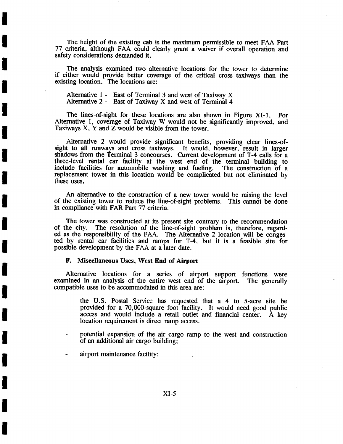The height of the existing cab is the maximum permissible to meet FAA Part 77 criteria, although FAA could clearly grant a waiver if overall operation and safety considerations demanded it.

The analysis examined two alternative locations for the tower to determine if either would provide better coverage of the critical cross taxiways than the existing location. The locations are:

Alternative 1 - East of Terminal 3 and west of Taxiway X Alternative 2 - East of Taxiway X and west of Terminal 4

**I** 

**I** 

**i** 

**I** 

**I** 

**I** 

**I** 

**!** 

**I** 

**I** 

**I** 

**I** 

**I** 

**I** 

**I** 

**I** 

**!** 

**!** 

The lines-of-sight for these locations are also shown in Figure XI-I. For Alternative I, coverage of Taxiway W would not be significantly improved, and Taxiways X, Y and Z would be visible from the tower.

Alternative 2 would provide significant benefits, providing clear lines-ofsight to all runways and cross taxiways. It would, however, result in larger shadows from the Terminal 3 concourses. Current development of T-4 calls for a three-level rental car facility at the west end of the terminal building to include facilities for automobile washing and fueling. The construction of a replacement tower in this location would be complicated but not eliminated by these uses.

An aitemative to the construction of a new tower would be raising the level of the existing tower to reduce the line-of-sight problems. This cannot be done in compliance with FAR Part 77 criteria.

The tower was constructed at its present site contrary to the recommendation of the city. The resolution of the line-of-sight problem is therefore, regard-The resolution of the line-of-sight problem is, therefore, regarded as the responsibility of the FAA. The Alternative 2 location will be congested by rental car facilities and ramps for T-4, but it is a feasible site for possible development by the FAA at a later date.

# **F. Miscellaneous Uses, West End of Airport**

Alternative locations for a series of airport support functions were examined in an analysis of the entire west end of the airport. The generally compatible uses to be accommodated in this area are:

- the U.S. Postal Service has requested that a 4 to 5-acre site be provided for a 70,000-square foot facility. It would need good public access and would include a retail outlet and financial center. A key location requirement is direct ramp access.
- potential expansion of the air cargo ramp to the west and construction of an additional air cargo building;
- airport maintenance facility;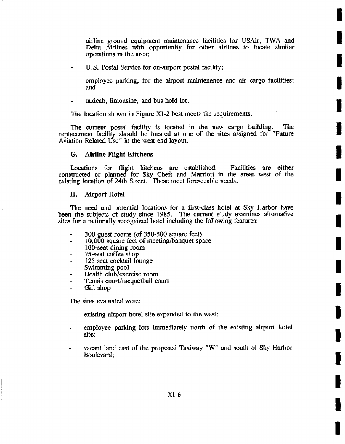airline ground equipment maintenance facilities for USAir, TWA and Delta Airlines with opportunity for other airlines *to* locate similar operations in the area;

**I** 

I

**I** 

**I** 

**I** 

**I** 

**I** 

**I** 

I

**I** 

**I** 

**I** 

**I** 

**I** 

**I** 

**I** 

**I** 

**I** 

- U.S. Postal Service for on-airport postal facility;
- employee parking, for the airport maintenance and air cargo facilities; and
- taxicab, limousine, and bus hold lot.

The location shown in Figure XI-2 best meets the requirements.

The current postal facility is located in the new cargo building. The replacement facility should be located at one of the sites assigned for "Future Aviation Related Use" in the west end layout.

### **G. Airline FHght Kitchens**

Locations for flight kitchens are established. Facilities are either constructed or planned for Sky Chefs and Marriott in the areas west of the existing location of 24th Street. These meet foreseeable needs.

### H. Airport Hotel

The need and potential locations for a first-class hotel at Sky Harbor have been the subjects of study since 1985. The current study examines alternative sites for a nationally recognized hotel including the following features:

- 300 guest rooms (of 350-500 square feet)
- 10,000 square feet of meeting/banquet space
- 100-seat dining room
- 75-seat coffee shop
- 125-seat cocktail lounge
- Swimming pool
- Health club/exercise room
- Tennis court/racquetball court
- Gift shop

The sites evaluated were:

- existing airport hotel site expanded to the west:
- employee parking lots immediately north of the existing airport hotel site;
- vacant land east of the proposed Taxiway "W" and south of Sky Harbor Boulevard;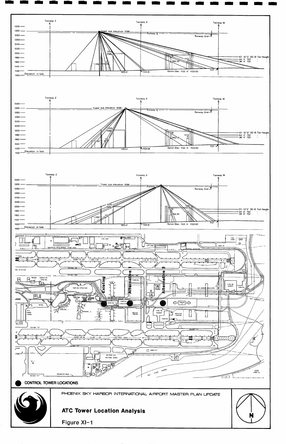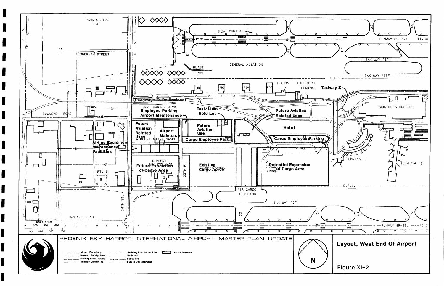